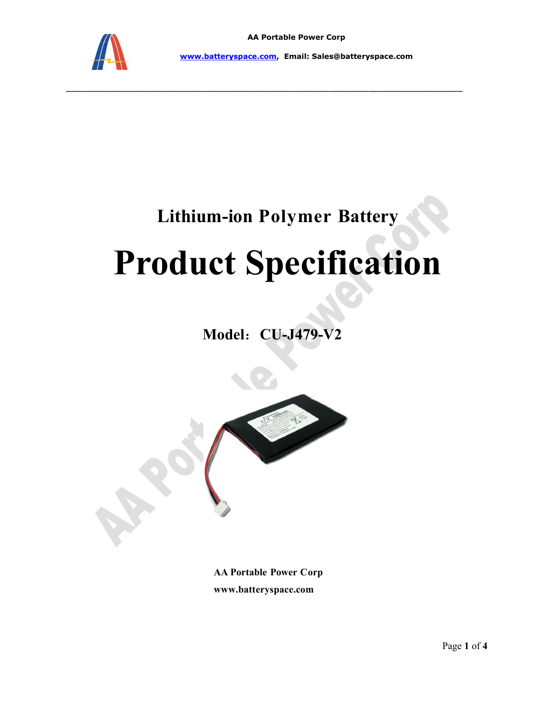

www.batteryspace.com, Email: Sales@batteryspace.com

\_\_\_\_\_\_\_\_\_\_\_\_\_\_\_\_\_\_\_\_\_\_\_\_\_\_\_\_\_\_\_\_\_\_\_\_\_\_\_\_\_\_\_\_\_\_\_\_\_\_\_\_\_\_\_\_\_\_\_\_\_\_\_\_\_\_\_\_\_\_\_\_\_\_\_\_\_\_\_\_

# Lithium-ion Polymer Battery

# Product Specification

Model: CU-J479-V2



AA Portable Power Corp www.batteryspace.com

Page 1 of 4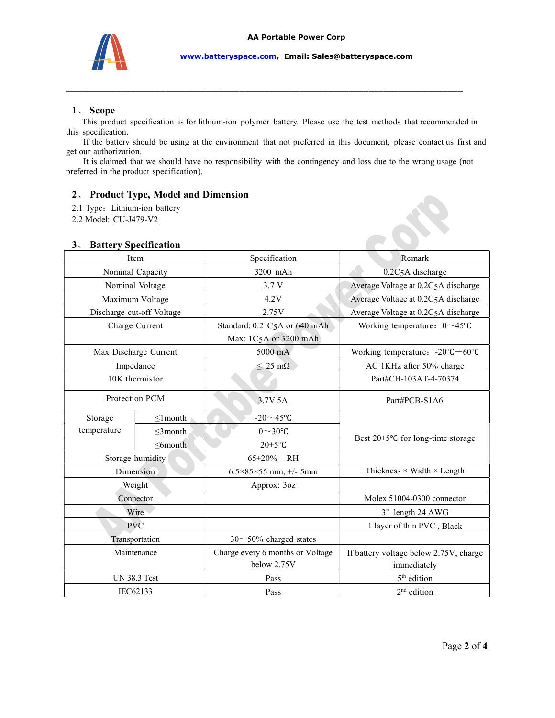

#### 1、 Scope

 This product specification is for lithium-ion polymer battery. Please use the test methods that recommended in this specification.

\_\_\_\_\_\_\_\_\_\_\_\_\_\_\_\_\_\_\_\_\_\_\_\_\_\_\_\_\_\_\_\_\_\_\_\_\_\_\_\_\_\_\_\_\_\_\_\_\_\_\_\_\_\_\_\_\_\_\_\_\_\_\_\_\_\_\_\_\_\_\_\_\_\_\_\_\_\_\_\_

 If the battery should be using at the environment that not preferred in this document, please contact us first and get our authorization.

 It is claimed that we should have no responsibility with the contingency and loss due to the wrong usage (not preferred in the product specification).

#### 2、 Product Type, Model and Dimension

- 2.1 Type: Lithium-ion battery
- 2.2 Model: CU-J479-V2

| $2.1$ Type: Littlium-Ton battery |                |                                                 |                                                       |
|----------------------------------|----------------|-------------------------------------------------|-------------------------------------------------------|
| 2.2 Model: CU-J479-V2            |                |                                                 |                                                       |
|                                  |                |                                                 |                                                       |
| 3. Battery Specification         |                |                                                 |                                                       |
| Item                             |                | Specification                                   | Remark                                                |
| Nominal Capacity                 |                | 3200 mAh                                        | 0.2C5A discharge                                      |
| Nominal Voltage                  |                | 3.7 V                                           | Average Voltage at 0.2C5A discharge                   |
| Maximum Voltage                  |                | 4.2V                                            | Average Voltage at 0.2C5A discharge                   |
| Discharge cut-off Voltage        |                | 2.75V                                           | Average Voltage at 0.2C5A discharge                   |
| Charge Current                   |                | Standard: 0.2 C5A or 640 mAh                    | Working temperature: $0 \sim 45^{\circ}$ C            |
| Max Discharge Current            |                | Max: 1C5A or 3200 mAh<br>5000 mA                | Working temperature: $-20^{\circ}C - 60^{\circ}C$     |
| Impedance                        |                | $\leq 25 \text{ mA}$                            | AC 1KHz after 50% charge                              |
| 10K thermistor                   |                |                                                 | Part#CH-103AT-4-70374                                 |
| Protection PCM                   |                | 3.7V 5A                                         | Part#PCB-S1A6                                         |
| Storage<br>temperature           | $\leq$ 1 month | -20 $\sim$ 45°C                                 |                                                       |
|                                  | $\leq$ 3month  | $0\sim 30$ °C                                   |                                                       |
|                                  | $\leq$ 6month  | $20 \pm 5$ °C                                   | Best 20±5°C for long-time storage                     |
| Storage humidity                 |                | 65±20% RH                                       |                                                       |
| Dimension                        |                | $6.5 \times 85 \times 55$ mm, $\frac{+}{5}$ 5mm | Thickness $\times$ Width $\times$ Length              |
| Weight                           |                | Approx: 3oz                                     |                                                       |
| Connector                        |                |                                                 | Molex 51004-0300 connector                            |
| Wire                             |                |                                                 | 3" length 24 AWG                                      |
| <b>PVC</b>                       |                |                                                 | 1 layer of thin PVC, Black                            |
| Transportation                   |                | $30 \sim 50\%$ charged states                   |                                                       |
| Maintenance                      |                | Charge every 6 months or Voltage<br>below 2.75V | If battery voltage below 2.75V, charge<br>immediately |
| <b>UN 38.3 Test</b>              |                | Pass                                            | 5 <sup>th</sup> edition                               |
| IEC62133                         |                | Pass                                            | $2nd$ edition                                         |
|                                  |                |                                                 |                                                       |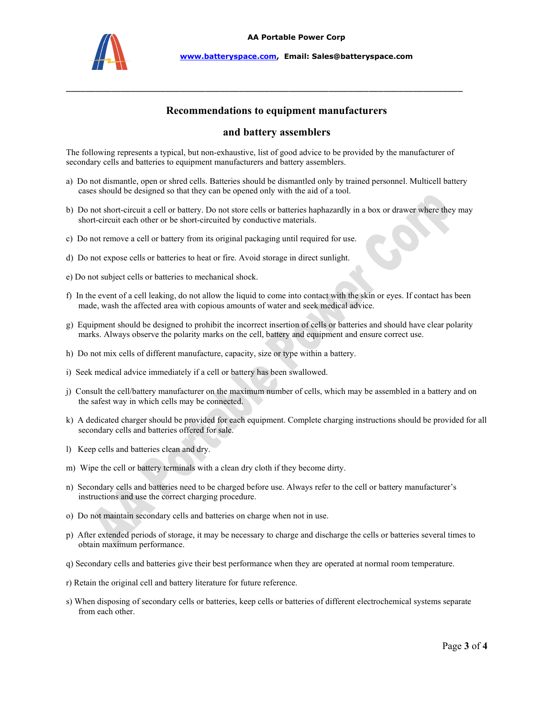

## Recommendations to equipment manufacturers

\_\_\_\_\_\_\_\_\_\_\_\_\_\_\_\_\_\_\_\_\_\_\_\_\_\_\_\_\_\_\_\_\_\_\_\_\_\_\_\_\_\_\_\_\_\_\_\_\_\_\_\_\_\_\_\_\_\_\_\_\_\_\_\_\_\_\_\_\_\_\_\_\_\_\_\_\_\_\_\_

#### and battery assemblers

The following represents a typical, but non-exhaustive, list of good advice to be provided by the manufacturer of secondary cells and batteries to equipment manufacturers and battery assemblers.

- a) Do not dismantle, open or shred cells. Batteries should be dismantled only by trained personnel. Multicell battery cases should be designed so that they can be opened only with the aid of a tool.
- b) Do not short-circuit a cell or battery. Do not store cells or batteries haphazardly in a box or drawer where they may short-circuit each other or be short-circuited by conductive materials.
- c) Do not remove a cell or battery from its original packaging until required for use.
- d) Do not expose cells or batteries to heat or fire. Avoid storage in direct sunlight.
- e) Do not subject cells or batteries to mechanical shock.
- f) In the event of a cell leaking, do not allow the liquid to come into contact with the skin or eyes. If contact has been made, wash the affected area with copious amounts of water and seek medical advice.
- g) Equipment should be designed to prohibit the incorrect insertion of cells or batteries and should have clear polarity marks. Always observe the polarity marks on the cell, battery and equipment and ensure correct use.
- h) Do not mix cells of different manufacture, capacity, size or type within a battery.
- i) Seek medical advice immediately if a cell or battery has been swallowed.
- j) Consult the cell/battery manufacturer on the maximum number of cells, which may be assembled in a battery and on the safest way in which cells may be connected.
- k) A dedicated charger should be provided for each equipment. Complete charging instructions should be provided for all secondary cells and batteries offered for sale.
- l) Keep cells and batteries clean and dry.
- m) Wipe the cell or battery terminals with a clean dry cloth if they become dirty.
- n) Secondary cells and batteries need to be charged before use. Always refer to the cell or battery manufacturer's instructions and use the correct charging procedure.
- o) Do not maintain secondary cells and batteries on charge when not in use.
- p) After extended periods of storage, it may be necessary to charge and discharge the cells or batteries several times to obtain maximum performance.
- q) Secondary cells and batteries give their best performance when they are operated at normal room temperature.
- r) Retain the original cell and battery literature for future reference.
- s) When disposing of secondary cells or batteries, keep cells or batteries of different electrochemical systems separate from each other.